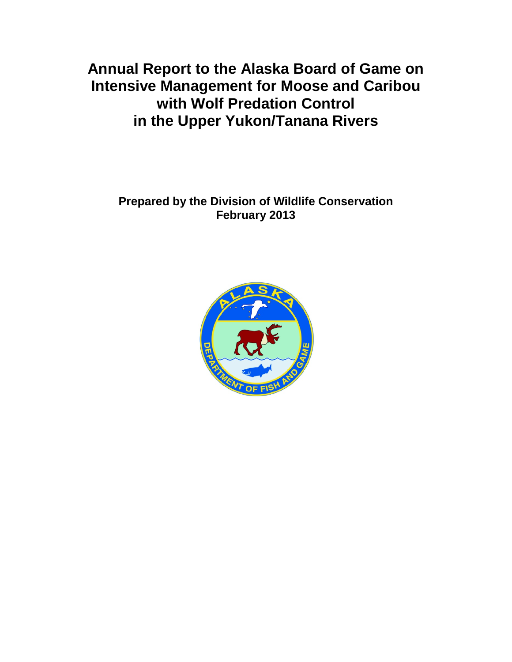**Annual Report to the Alaska Board of Game on Intensive Management for Moose and Caribou with Wolf Predation Control in the Upper Yukon/Tanana Rivers** 

**Prepared by the Division of Wildlife Conservation February 2013**

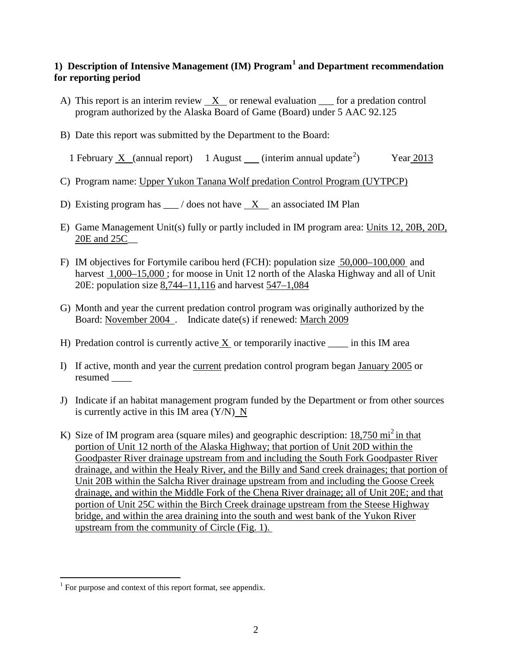# **1) Description of Intensive Management (IM) Program[1](#page-1-0) and Department recommendation for reporting period**

- A) This report is an interim review  $X$  or renewal evaluation  $\equiv$  for a predation control program authorized by the Alaska Board of Game (Board) under 5 AAC 92.125
- B) Date this report was submitted by the Department to the Board:

1 February X (annual report) 1 August (interim annual update<sup>[2](#page-1-1)</sup>) ) Year 2013

- C) Program name: Upper Yukon Tanana Wolf predation Control Program (UYTPCP)
- D) Existing program has  $\angle$  / does not have X an associated IM Plan
- E) Game Management Unit(s) fully or partly included in IM program area: Units 12, 20B, 20D, 20E and 25C\_\_
- F) IM objectives for Fortymile caribou herd (FCH): population size 50,000–100,000 and harvest 1,000–15,000; for moose in Unit 12 north of the Alaska Highway and all of Unit 20E: population size 8,744–11,116 and harvest 547–1,084
- G) Month and year the current predation control program was originally authorized by the Board: November 2004 . Indicate date(s) if renewed: March 2009
- H) Predation control is currently active  $X$  or temporarily inactive  $\_\_$  in this IM area
- I) If active, month and year the current predation control program began January 2005 or resumed \_\_\_\_
- J) Indicate if an habitat management program funded by the Department or from other sources is currently active in this IM area  $(Y/N)$  N
- K) Size of IM program area (square miles) and geographic description:  $18,750 \text{ mi}^2$  in that portion of Unit 12 north of the Alaska Highway; that portion of Unit 20D within the Goodpaster River drainage upstream from and including the South Fork Goodpaster River drainage, and within the Healy River, and the Billy and Sand creek drainages; that portion of Unit 20B within the Salcha River drainage upstream from and including the Goose Creek drainage, and within the Middle Fork of the Chena River drainage; all of Unit 20E; and that portion of Unit 25C within the Birch Creek drainage upstream from the Steese Highway bridge, and within the area draining into the south and west bank of the Yukon River upstream from the community of Circle (Fig. 1).

<span id="page-1-1"></span><span id="page-1-0"></span> $1$  For purpose and context of this report format, see appendix.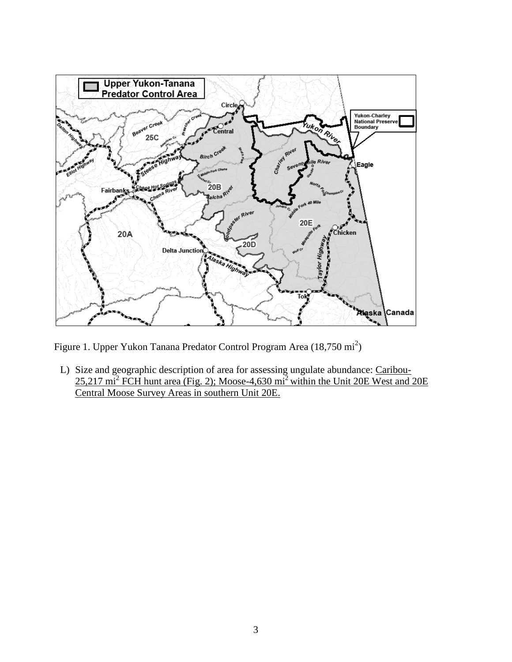

Figure 1. Upper Yukon Tanana Predator Control Program Area (18,750 mi<sup>2</sup>)

L) Size and geographic description of area for assessing ungulate abundance: Caribou-25,217 mi<sup>2</sup> FCH hunt area (Fig. 2); Moose-4,630 mi2 within the Unit 20E West and 20E Central Moose Survey Areas in southern Unit 20E.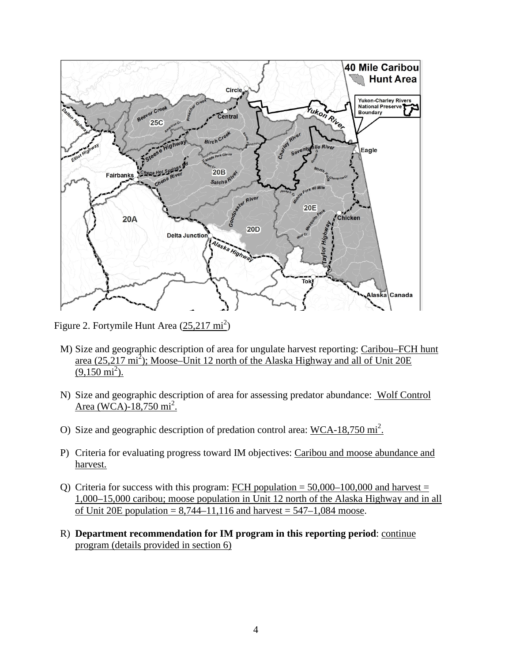

Figure 2. Fortymile Hunt Area (25,217 mi<sup>2</sup>)

- M) Size and geographic description of area for ungulate harvest reporting: Caribou–FCH hunt area  $(25,217 \text{ mi}^2)$ ; Moose–Unit 12 north of the Alaska Highway and all of Unit 20E  $(9,150 \text{ mi}^2)$ .
- N) Size and geographic description of area for assessing predator abundance: Wolf Control Area (WCA)-18,750 mi<sup>2</sup>.
- O) Size and geographic description of predation control area: WCA-18,750 mi<sup>2</sup>.
- P) Criteria for evaluating progress toward IM objectives: Caribou and moose abundance and harvest.
- Q) Criteria for success with this program: FCH population  $= 50,000-100,000$  and harvest  $=$ 1,000–15,000 caribou; moose population in Unit 12 north of the Alaska Highway and in all of Unit 20E population =  $8,744-11,116$  and harvest =  $547-1,084$  moose.
- R) **Department recommendation for IM program in this reporting period**: continue program (details provided in section 6)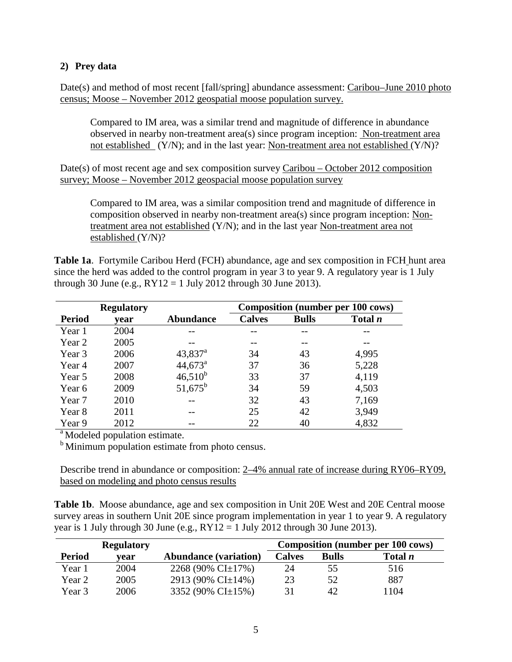## **2) Prey data**

Date(s) and method of most recent [fall/spring] abundance assessment: Caribou–June 2010 photo census; Moose – November 2012 geospatial moose population survey.

Compared to IM area, was a similar trend and magnitude of difference in abundance observed in nearby non-treatment area(s) since program inception: Non-treatment area not established (Y/N); and in the last year: Non-treatment area not established (Y/N)?

Date(s) of most recent age and sex composition survey Caribou – October 2012 composition survey; Moose – November 2012 geospacial moose population survey

Compared to IM area, was a similar composition trend and magnitude of difference in composition observed in nearby non-treatment area(s) since program inception: Nontreatment area not established (Y/N); and in the last year Non-treatment area not established (Y/N)?

**Table 1a**. Fortymile Caribou Herd (FCH) abundance, age and sex composition in FCH hunt area since the herd was added to the control program in year 3 to year 9. A regulatory year is 1 July through 30 June (e.g.,  $RY12 = 1$  July 2012 through 30 June 2013).

|               | <b>Regulatory</b> |                       |               |              | <b>Composition (number per 100 cows)</b> |
|---------------|-------------------|-----------------------|---------------|--------------|------------------------------------------|
| <b>Period</b> | year              | <b>Abundance</b>      | <b>Calves</b> | <b>Bulls</b> | Total <i>n</i>                           |
| Year 1        | 2004              |                       |               |              |                                          |
| Year 2        | 2005              |                       |               |              |                                          |
| Year 3        | 2006              | $43,837$ <sup>a</sup> | 34            | 43           | 4,995                                    |
| Year 4        | 2007              | $44,673^{\circ}$      | 37            | 36           | 5,228                                    |
| Year 5        | 2008              | $46,510^{b}$          | 33            | 37           | 4,119                                    |
| Year 6        | 2009              | $51,675^{\rm b}$      | 34            | 59           | 4,503                                    |
| Year 7        | 2010              |                       | 32            | 43           | 7,169                                    |
| Year 8        | 2011              |                       | 25            | 42           | 3,949                                    |
| Year 9        | 2012              |                       | 22            | 40           | 4,832                                    |

 $\mu$ <sup>b</sup> Modeled population estimate.<br><sup>b</sup> Minimum population estimate from photo census.

Describe trend in abundance or composition: 2–4% annual rate of increase during RY06–RY09, based on modeling and photo census results

**Table 1b**. Moose abundance, age and sex composition in Unit 20E West and 20E Central moose survey areas in southern Unit 20E since program implementation in year 1 to year 9. A regulatory year is 1 July through 30 June (e.g.,  $RY12 = 1$  July 2012 through 30 June 2013).

|               | <b>Regulatory</b> |                              | <b>Composition (number per 100 cows)</b> |              |                |  |
|---------------|-------------------|------------------------------|------------------------------------------|--------------|----------------|--|
| <b>Period</b> | vear              | <b>Abundance (variation)</b> | <b>Calves</b>                            | <b>Bulls</b> | Total <i>n</i> |  |
| Year 1        | 2004              | 2268 (90% CI $\pm$ 17%)      | 24                                       | 55           | 516            |  |
| Year 2        | 2005              | 2913 (90% CI $\pm$ 14%)      | 23                                       | 52           | 887            |  |
| Year 3        | 2006              | 3352 (90% CI±15%)            |                                          | 42           | 1104           |  |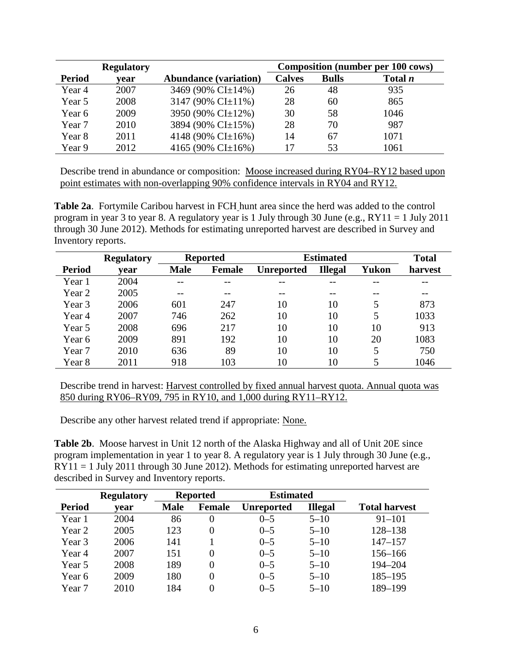|               | <b>Regulatory</b> |                              |               |              | <b>Composition (number per 100 cows)</b> |
|---------------|-------------------|------------------------------|---------------|--------------|------------------------------------------|
| <b>Period</b> | vear              | <b>Abundance (variation)</b> | <b>Calves</b> | <b>Bulls</b> | Total <i>n</i>                           |
| Year 4        | 2007              | 3469 (90% CI±14%)            | 26            | 48           | 935                                      |
| Year 5        | 2008              | 3147 (90% CI $\pm$ 11%)      | 28            | 60           | 865                                      |
| Year 6        | 2009              | 3950 (90% CI±12%)            | 30            | 58           | 1046                                     |
| Year 7        | 2010              | 3894 (90% CI±15%)            | 28            | 70           | 987                                      |
| Year 8        | 2011              | 4148 (90% CI $\pm$ 16%)      | 14            | 67           | 1071                                     |
| Year 9        | 2012              | 4165 (90% CI $\pm$ 16%)      |               | 53           | 1061                                     |

Describe trend in abundance or composition: Moose increased during RY04–RY12 based upon point estimates with non-overlapping 90% confidence intervals in RY04 and RY12.

**Table 2a**. Fortymile Caribou harvest in FCH hunt area since the herd was added to the control program in year 3 to year 8. A regulatory year is 1 July through 30 June (e.g., RY11 = 1 July 2011 through 30 June 2012). Methods for estimating unreported harvest are described in Survey and Inventory reports.

|               | <b>Regulatory</b> |             | <b>Reported</b> | <b>Estimated</b>  | <b>Total</b>   |              |         |
|---------------|-------------------|-------------|-----------------|-------------------|----------------|--------------|---------|
| <b>Period</b> | vear              | <b>Male</b> | Female          | <b>Unreported</b> | <b>Illegal</b> | <b>Yukon</b> | harvest |
| Year 1        | 2004              | $ -$        | $- -$           |                   |                | --           |         |
| Year 2        | 2005              | --          | $- -$           | --                | --             | $- -$        |         |
| Year 3        | 2006              | 601         | 247             | 10                | 10             | 5            | 873     |
| Year 4        | 2007              | 746         | 262             | 10                | 10             | 5            | 1033    |
| Year 5        | 2008              | 696         | 217             | 10                | 10             | 10           | 913     |
| Year 6        | 2009              | 891         | 192             | 10                | 10             | 20           | 1083    |
| Year 7        | 2010              | 636         | 89              | 10                | 10             | 5            | 750     |
| Year 8        | 2011              | 918         | 103             | 10                | 10             |              | 1046    |

Describe trend in harvest: Harvest controlled by fixed annual harvest quota. Annual quota was 850 during RY06–RY09, 795 in RY10, and 1,000 during RY11–RY12.

Describe any other harvest related trend if appropriate: None.

**Table 2b**. Moose harvest in Unit 12 north of the Alaska Highway and all of Unit 20E since program implementation in year 1 to year 8. A regulatory year is 1 July through 30 June (e.g.,  $RY11 = 1$  July 2011 through 30 June 2012). Methods for estimating unreported harvest are described in Survey and Inventory reports.

|               | <b>Regulatory</b> |             | <b>Reported</b> | <b>Estimated</b>  |                |                      |
|---------------|-------------------|-------------|-----------------|-------------------|----------------|----------------------|
| <b>Period</b> | vear              | <b>Male</b> | <b>Female</b>   | <b>Unreported</b> | <b>Illegal</b> | <b>Total harvest</b> |
| Year 1        | 2004              | 86          | $\theta$        | $0 - 5$           | $5 - 10$       | $91 - 101$           |
| Year 2        | 2005              | 123         | $\Omega$        | $0 - 5$           | $5 - 10$       | 128-138              |
| Year 3        | 2006              | 141         |                 | $0 - 5$           | $5 - 10$       | $147 - 157$          |
| Year 4        | 2007              | 151         | $\Omega$        | $0 - 5$           | $5 - 10$       | 156-166              |
| Year 5        | 2008              | 189         | 0               | $0 - 5$           | $5 - 10$       | 194-204              |
| Year 6        | 2009              | 180         | 0               | $0 - 5$           | $5 - 10$       | $185 - 195$          |
| Year 7        | 2010              | 184         | 0               | $0 - 5$           | $5 - 10$       | 189-199              |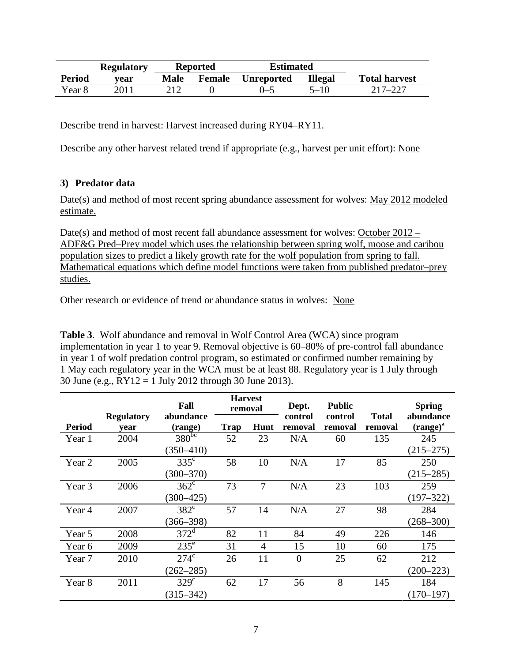|               | <b>Regulatory</b> | <b>Reported</b>              |  | <b>Estimated</b> |                |                      |
|---------------|-------------------|------------------------------|--|------------------|----------------|----------------------|
| <b>Period</b> | vear              | <b>Female</b><br><b>Male</b> |  | Unreported       | <b>Illegal</b> | <b>Total harvest</b> |
| Year 8        | 2011              |                              |  | $(1 - 5)$        | $5 - 10$       | 217–227              |

Describe trend in harvest: Harvest increased during RY04–RY11.

Describe any other harvest related trend if appropriate (e.g., harvest per unit effort): None

## **3) Predator data**

Date(s) and method of most recent spring abundance assessment for wolves: May 2012 modeled estimate.

Date(s) and method of most recent fall abundance assessment for wolves: October 2012 – ADF&G Pred–Prey model which uses the relationship between spring wolf, moose and caribou population sizes to predict a likely growth rate for the wolf population from spring to fall. Mathematical equations which define model functions were taken from published predator–prey studies.

Other research or evidence of trend or abundance status in wolves: None

**Table 3**. Wolf abundance and removal in Wolf Control Area (WCA) since program implementation in year 1 to year 9. Removal objective is 60–80% of pre-control fall abundance in year 1 of wolf predation control program, so estimated or confirmed number remaining by 1 May each regulatory year in the WCA must be at least 88. Regulatory year is 1 July through 30 June (e.g., RY12 = 1 July 2012 through 30 June 2013).

|               |                           | Fall                 | <b>Harvest</b><br>removal |      | Dept.              | <b>Public</b>      |                         | <b>Spring</b>              |
|---------------|---------------------------|----------------------|---------------------------|------|--------------------|--------------------|-------------------------|----------------------------|
| <b>Period</b> | <b>Regulatory</b><br>vear | abundance<br>(range) | Trap                      | Hunt | control<br>removal | control<br>removal | <b>Total</b><br>removal | abundance<br>$(range)^{a}$ |
| Year 1        | 2004                      | $380^{bc}$           | 52                        | 23   | N/A                | 60                 | 135                     | 245                        |
|               |                           | $(350 - 410)$        |                           |      |                    |                    |                         | $(215 - 275)$              |
| Year 2        | 2005                      | $335^{\circ}$        | 58                        | 10   | N/A                | 17                 | 85                      | 250                        |
|               |                           | $(300 - 370)$        |                           |      |                    |                    |                         | $(215 - 285)$              |
| Year 3        | 2006                      | $362^{\circ}$        | 73                        | 7    | N/A                | 23                 | 103                     | 259                        |
|               |                           | $(300 - 425)$        |                           |      |                    |                    |                         | $(197 - 322)$              |
| Year 4        | 2007                      | $382^{\circ}$        | 57                        | 14   | N/A                | 27                 | 98                      | 284                        |
|               |                           | $(366 - 398)$        |                           |      |                    |                    |                         | $(268 - 300)$              |
| Year 5        | 2008                      | $372^{\rm d}$        | 82                        | 11   | 84                 | 49                 | 226                     | 146                        |
| Year 6        | 2009                      | $235^{\circ}$        | 31                        | 4    | 15                 | 10                 | 60                      | 175                        |
| Year 7        | 2010                      | $274^{\circ}$        | 26                        | 11   | $\overline{0}$     | 25                 | 62                      | 212                        |
|               |                           | $(262 - 285)$        |                           |      |                    |                    |                         | $(200 - 223)$              |
| Year 8        | 2011                      | $329^\circ$          | 62                        | 17   | 56                 | 8                  | 145                     | 184                        |
|               |                           | $(315 - 342)$        |                           |      |                    |                    |                         | $(170 - 197)$              |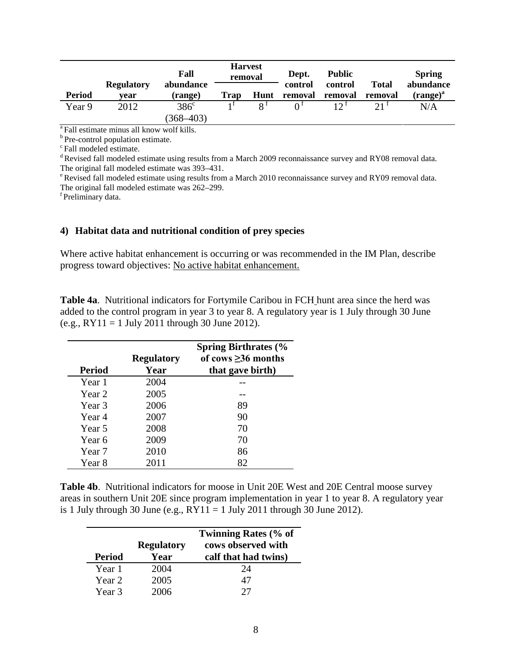|               |                           | Fall                 | <b>Harvest</b><br>removal |              | Dept.<br>control | <b>Public</b><br>control | <b>Total</b>    | <b>Spring</b><br>abundance |
|---------------|---------------------------|----------------------|---------------------------|--------------|------------------|--------------------------|-----------------|----------------------------|
| <b>Period</b> | <b>Regulatory</b><br>vear | abundance<br>(range) | <b>Trap</b>               | Hunt         | removal          | removal                  | removal         | $(range)^{a}$              |
| Year 9        | 2012                      | $386^{\circ}$        |                           | $\mathbf{Q}$ |                  | 12 <sup>1</sup>          | 21 <sup>1</sup> | N/A                        |
|               |                           | $(368 - 403)$        |                           |              |                  |                          |                 |                            |

<sup>a</sup> Fall estimate minus all know wolf kills.

 $\degree$ Pre-control population estimate.  $\degree$ Fall modeled estimate.

<sup>d</sup> Revised fall modeled estimate using results from a March 2009 reconnaissance survey and RY08 removal data. The original fall modeled estimate was 393–431.

 $e^{\epsilon}$  Revised fall modeled estimate using results from a March 2010 reconnaissance survey and RY09 removal data. The original fall modeled estimate was 262–299.

f Preliminary data.

#### **4) Habitat data and nutritional condition of prey species**

Where active habitat enhancement is occurring or was recommended in the IM Plan, describe progress toward objectives: No active habitat enhancement.

**Table 4a**. Nutritional indicators for Fortymile Caribou in FCH hunt area since the herd was added to the control program in year 3 to year 8. A regulatory year is 1 July through 30 June (e.g.,  $RY11 = 1$  July 2011 through 30 June 2012).

|        |                   | <b>Spring Birthrates (%</b> |
|--------|-------------------|-----------------------------|
|        | <b>Regulatory</b> | of cows $\geq$ 36 months    |
| Period | Year              | that gave birth)            |
| Year 1 | 2004              |                             |
| Year 2 | 2005              |                             |
| Year 3 | 2006              | 89                          |
| Year 4 | 2007              | 90                          |
| Year 5 | 2008              | 70                          |
| Year 6 | 2009              | 70                          |
| Year 7 | 2010              | 86                          |
| Year 8 | 2011              | 82                          |

**Table 4b**. Nutritional indicators for moose in Unit 20E West and 20E Central moose survey areas in southern Unit 20E since program implementation in year 1 to year 8. A regulatory year is 1 July through 30 June (e.g.,  $RY11 = 1$  July 2011 through 30 June 2012).

| <b>Period</b> | <b>Regulatory</b><br>Year | <b>Twinning Rates (% of</b><br>cows observed with<br>calf that had twins) |
|---------------|---------------------------|---------------------------------------------------------------------------|
| Year 1        | 2004                      | 24                                                                        |
| Year 2        | 2005                      | 47                                                                        |
| Year 3        | 2006                      | 27                                                                        |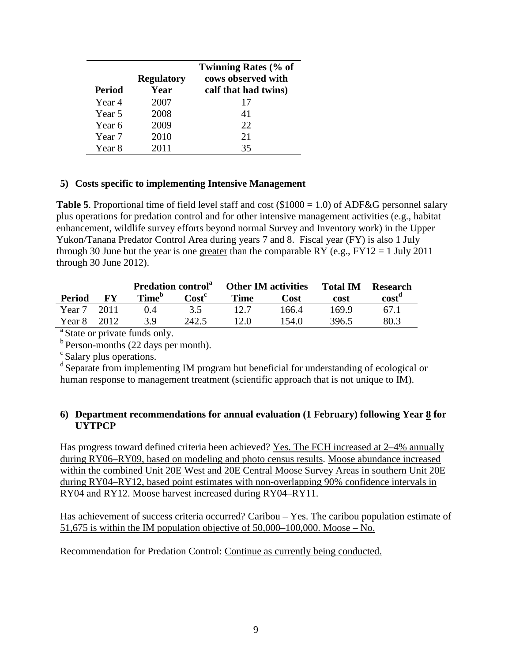| Period | <b>Regulatory</b><br>Year | <b>Twinning Rates (% of</b><br>cows observed with<br>calf that had twins) |
|--------|---------------------------|---------------------------------------------------------------------------|
| Year 4 | 2007                      | 17                                                                        |
| Year 5 | 2008                      | 41                                                                        |
| Year 6 | 2009                      | 22                                                                        |
| Year 7 | 2010                      | 21                                                                        |
| Year 8 | 2011                      | 35                                                                        |

## **5) Costs specific to implementing Intensive Management**

**Table 5.** Proportional time of field level staff and cost  $(\$1000 = 1.0)$  of ADF&G personnel salary plus operations for predation control and for other intensive management activities (e.g., habitat enhancement, wildlife survey efforts beyond normal Survey and Inventory work) in the Upper Yukon/Tanana Predator Control Area during years 7 and 8. Fiscal year (FY) is also 1 July through 30 June but the year is one greater than the comparable RY (e.g.,  $FY12 = 1$  July 2011 through 30 June 2012).

|        |      | <b>Predation control</b> <sup>a</sup> |              |             | <b>Other IM activities</b> |       | <b>Research</b> |
|--------|------|---------------------------------------|--------------|-------------|----------------------------|-------|-----------------|
| Period | FV   | Time <sup>p</sup>                     | $\bf Cost^c$ | <b>Time</b> | Cost                       | cost  | cost            |
| Year 7 | 2011 | $\sqrt{4}$                            |              |             | 166.4                      | 169.9 | 67.1            |
| Year 8 | 2012 | 3 Q                                   | 242.5        | 12.0        | 154.0                      | 396.5 | 80.3            |

<sup>a</sup> State or private funds only.<br><sup>b</sup> Person-months (22 days per month).

 $\sigma$  Salary plus operations.<br>d Separate from implementing IM program but beneficial for understanding of ecological or human response to management treatment (scientific approach that is not unique to IM).

## **6) Department recommendations for annual evaluation (1 February) following Year 8 for UYTPCP**

Has progress toward defined criteria been achieved? Yes. The FCH increased at 2–4% annually during RY06–RY09, based on modeling and photo census results. Moose abundance increased within the combined Unit 20E West and 20E Central Moose Survey Areas in southern Unit 20E during RY04–RY12, based point estimates with non-overlapping 90% confidence intervals in RY04 and RY12. Moose harvest increased during RY04–RY11.

Has achievement of success criteria occurred? Caribou – Yes. The caribou population estimate of 51,675 is within the IM population objective of  $50,000-100,000$ . Moose – No.

Recommendation for Predation Control: Continue as currently being conducted.